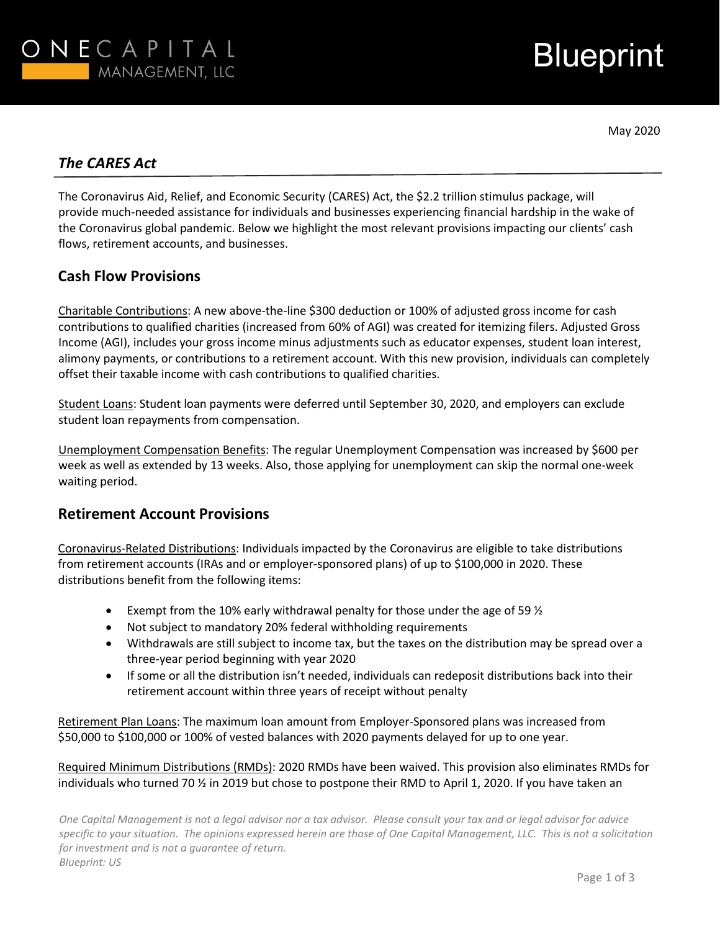

# **Blueprint**

May 2020

## *The CARES Act*

The Coronavirus Aid, Relief, and Economic Security (CARES) Act, the \$2.2 trillion stimulus package, will provide much-needed assistance for individuals and businesses experiencing financial hardship in the wake of the Coronavirus global pandemic. Below we highlight the most relevant provisions impacting our clients' cash flows, retirement accounts, and businesses.

### **Cash Flow Provisions**

Charitable Contributions: A new above-the-line \$300 deduction or 100% of adjusted gross income for cash contributions to qualified charities (increased from 60% of AGI) was created for itemizing filers. Adjusted Gross Income (AGI), includes your gross income minus adjustments such as educator expenses, student loan interest, alimony payments, or contributions to a retirement account. With this new provision, individuals can completely offset their taxable income with cash contributions to qualified charities.

Student Loans: Student loan payments were deferred until September 30, 2020, and employers can exclude student loan repayments from compensation.

Unemployment Compensation Benefits: The regular Unemployment Compensation was increased by \$600 per week as well as extended by 13 weeks. Also, those applying for unemployment can skip the normal one-week waiting period.

### **Retirement Account Provisions**

Coronavirus-Related Distributions: Individuals impacted by the Coronavirus are eligible to take distributions from retirement accounts (IRAs and or employer-sponsored plans) of up to \$100,000 in 2020. These distributions benefit from the following items:

- Exempt from the 10% early withdrawal penalty for those under the age of 59  $\frac{1}{2}$
- Not subject to mandatory 20% federal withholding requirements
- Withdrawals are still subject to income tax, but the taxes on the distribution may be spread over a three-year period beginning with year 2020
- If some or all the distribution isn't needed, individuals can redeposit distributions back into their retirement account within three years of receipt without penalty

Retirement Plan Loans: The maximum loan amount from Employer-Sponsored plans was increased from \$50,000 to \$100,000 or 100% of vested balances with 2020 payments delayed for up to one year.

Required Minimum Distributions (RMDs): 2020 RMDs have been waived. This provision also eliminates RMDs for individuals who turned 70 ½ in 2019 but chose to postpone their RMD to April 1, 2020. If you have taken an

*One Capital Management is not a legal advisor nor a tax advisor. Please consult your tax and or legal advisor for advice specific to your situation. The opinions expressed herein are those of One Capital Management, LLC. This is not a solicitation for investment and is not a guarantee of return. Blueprint: US*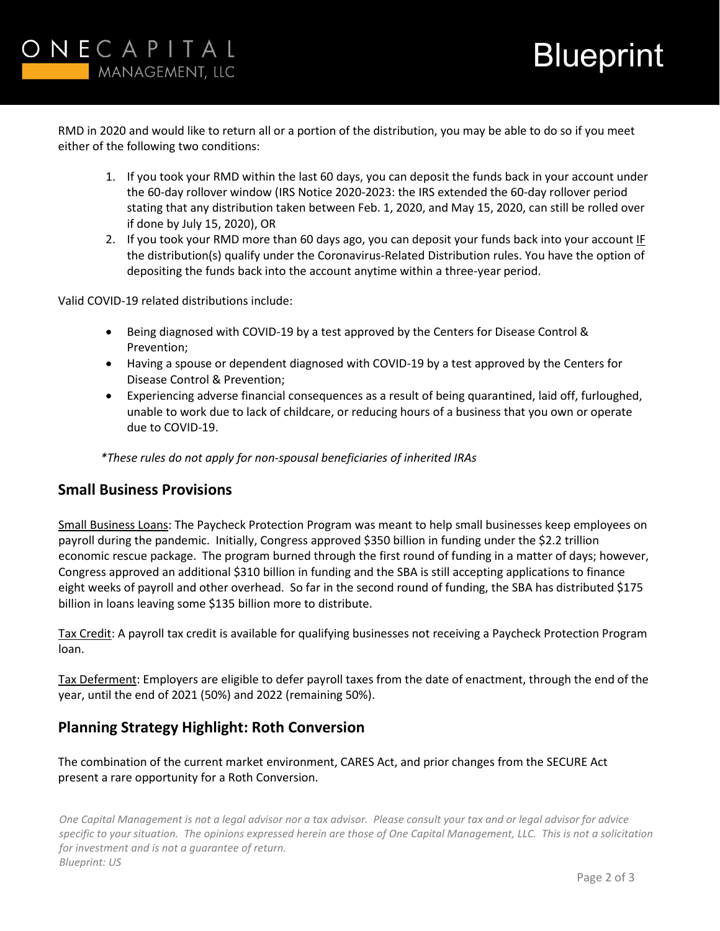RMD in 2020 and would like to return all or a portion of the distribution, you may be able to do so if you meet either of the following two conditions:

- 1. If you took your RMD within the last 60 days, you can deposit the funds back in your account under the 60-day rollover window (IRS Notice 2020-2023: the IRS extended the 60-day rollover period stating that any distribution taken between Feb. 1, 2020, and May 15, 2020, can still be rolled over if done by July 15, 2020), OR
- 2. If you took your RMD more than 60 days ago, you can deposit your funds back into your account IF the distribution(s) qualify under the Coronavirus-Related Distribution rules. You have the option of depositing the funds back into the account anytime within a three-year period.

Valid COVID-19 related distributions include:

- Being diagnosed with COVID-19 by a test approved by the Centers for Disease Control & Prevention;
- Having a spouse or dependent diagnosed with COVID-19 by a test approved by the Centers for Disease Control & Prevention;
- Experiencing adverse financial consequences as a result of being quarantined, laid off, furloughed, unable to work due to lack of childcare, or reducing hours of a business that you own or operate due to COVID-19.

*\*These rules do not apply for non-spousal beneficiaries of inherited IRAs*

### **Small Business Provisions**

Small Business Loans: The Paycheck Protection Program was meant to help small businesses keep employees on payroll during the pandemic. Initially, Congress approved \$350 billion in funding under the \$2.2 trillion economic rescue package. The program burned through the first round of funding in a matter of days; however, Congress approved an additional \$310 billion in funding and the SBA is still accepting applications to finance eight weeks of payroll and other overhead. So far in the second round of funding, the SBA has distributed \$175 billion in loans leaving some \$135 billion more to distribute.

Tax Credit: A payroll tax credit is available for qualifying businesses not receiving a Paycheck Protection Program loan.

Tax Deferment: Employers are eligible to defer payroll taxes from the date of enactment, through the end of the year, until the end of 2021 (50%) and 2022 (remaining 50%).

### **Planning Strategy Highlight: Roth Conversion**

The combination of the current market environment, CARES Act, and prior changes from the SECURE Act present a rare opportunity for a Roth Conversion.

*One Capital Management is not a legal advisor nor a tax advisor. Please consult your tax and or legal advisor for advice specific to your situation. The opinions expressed herein are those of One Capital Management, LLC. This is not a solicitation for investment and is not a guarantee of return. Blueprint: US*